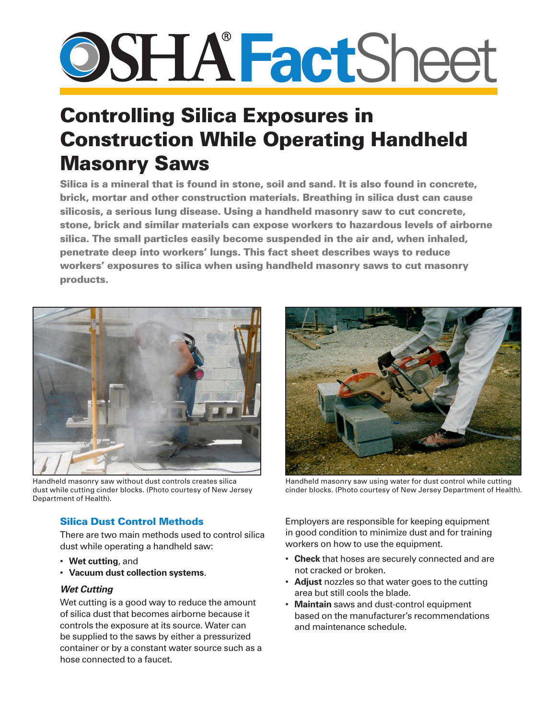# **Fact**Sheet

## Controlling Silica Exposures in Construction While Operating Handheld Masonry Saws

Silica is a mineral that is found in stone, soil and sand. It is also found in concrete, brick, mortar and other construction materials. Breathing in silica dust can cause silicosis, a serious lung disease. Using a handheld masonry saw to cut concrete, stone, brick and similar materials can expose workers to hazardous levels of airborne silica. The small particles easily become suspended in the air and, when inhaled, penetrate deep into workers' lungs. This fact sheet describes ways to reduce workers' exposures to silica when using handheld masonry saws to cut masonry products.



Handheld masonry saw without dust controls creates silica dust while cutting cinder blocks. (Photo courtesy of New Jersey Department of Health).

### Silica Dust Control Methods

There are two main methods used to control silica dust while operating a handheld saw:

- • **Wet cutting**, and
- • **Vacuum dust collection systems**.

#### *Wet Cutting*

Wet cutting is a good way to reduce the amount of silica dust that becomes airborne because it controls the exposure at its source. Water can be supplied to the saws by either a pressurized container or by a constant water source such as a hose connected to a faucet.



Handheld masonry saw using water for dust control while cutting cinder blocks. (Photo courtesy of New Jersey Department of Health).

Employers are responsible for keeping equipment in good condition to minimize dust and for training workers on how to use the equipment.

- • **Check** that hoses are securely connected and are not cracked or broken.
- **Adjust** nozzles so that water goes to the cutting area but still cools the blade.
- **Maintain** saws and dust-control equipment based on the manufacturer's recommendations and maintenance schedule.